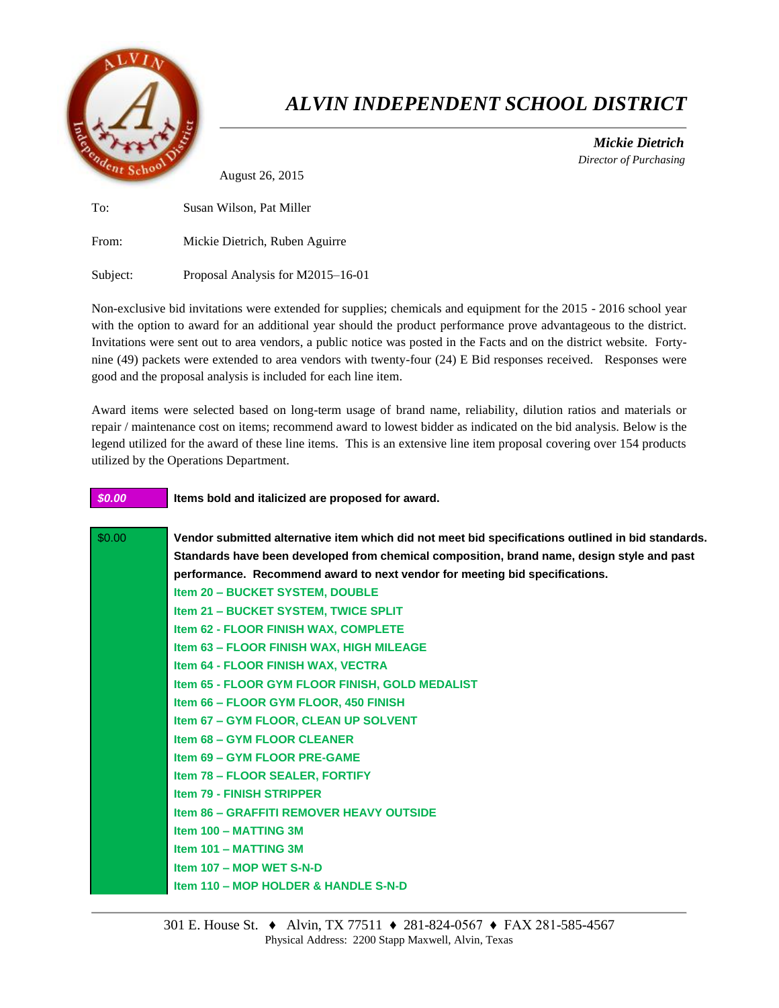

## *ALVIN INDEPENDENT SCHOOL DISTRICT*

 *Mickie Dietrich Director of Purchasing*

August 26, 2015

To: Susan Wilson, Pat Miller From: Mickie Dietrich, Ruben Aguirre Subject: Proposal Analysis for M2015–16-01

Non-exclusive bid invitations were extended for supplies; chemicals and equipment for the 2015 - 2016 school year with the option to award for an additional year should the product performance prove advantageous to the district. Invitations were sent out to area vendors, a public notice was posted in the Facts and on the district website. Fortynine (49) packets were extended to area vendors with twenty-four (24) E Bid responses received. Responses were good and the proposal analysis is included for each line item.

Award items were selected based on long-term usage of brand name, reliability, dilution ratios and materials or repair / maintenance cost on items; recommend award to lowest bidder as indicated on the bid analysis. Below is the legend utilized for the award of these line items. This is an extensive line item proposal covering over 154 products utilized by the Operations Department.

## *\$0.00* **Items bold and italicized are proposed for award.**

| \$0.00 | Vendor submitted alternative item which did not meet bid specifications outlined in bid standards. |
|--------|----------------------------------------------------------------------------------------------------|
|        | Standards have been developed from chemical composition, brand name, design style and past         |
|        | performance. Recommend award to next vendor for meeting bid specifications.                        |
|        | Item 20 - BUCKET SYSTEM, DOUBLE                                                                    |
|        | Item 21 - BUCKET SYSTEM, TWICE SPLIT                                                               |
|        | Item 62 - FLOOR FINISH WAX, COMPLETE                                                               |
|        | Item 63 - FLOOR FINISH WAX, HIGH MILEAGE                                                           |
|        | <b>Item 64 - FLOOR FINISH WAX, VECTRA</b>                                                          |
|        | Item 65 - FLOOR GYM FLOOR FINISH, GOLD MEDALIST                                                    |
|        | Item 66 - FLOOR GYM FLOOR, 450 FINISH                                                              |
|        | <b>Item 67 - GYM FLOOR, CLEAN UP SOLVENT</b>                                                       |
|        | <b>Item 68 - GYM FLOOR CLEANER</b>                                                                 |
|        | Item 69 - GYM FLOOR PRE-GAME                                                                       |
|        | <b>Item 78 - FLOOR SEALER, FORTIFY</b>                                                             |
|        | <b>Item 79 - FINISH STRIPPER</b>                                                                   |
|        | <b>Item 86 - GRAFFITI REMOVER HEAVY OUTSIDE</b>                                                    |
|        | Item 100 - MATTING 3M                                                                              |
|        | Item 101 - MATTING 3M                                                                              |
|        | Item 107 - MOP WET S-N-D                                                                           |
|        | Item 110 - MOP HOLDER & HANDLE S-N-D                                                               |